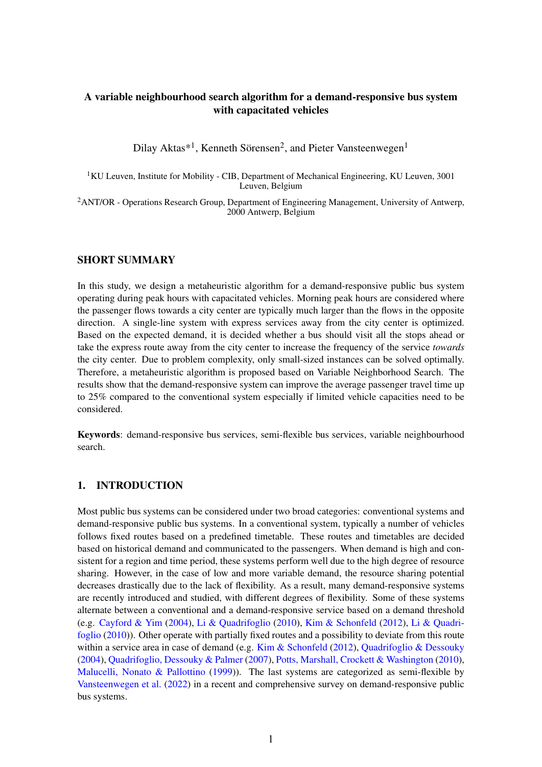## A variable neighbourhood search algorithm for a demand-responsive bus system with capacitated vehicles

Dilay Aktas\*<sup>1</sup>, Kenneth Sörensen<sup>2</sup>, and Pieter Vansteenwegen<sup>1</sup>

 $1$ KU Leuven, Institute for Mobility - CIB, Department of Mechanical Engineering, KU Leuven, 3001 Leuven, Belgium

<sup>2</sup> ANT/OR - Operations Research Group, Department of Engineering Management, University of Antwerp, 2000 Antwerp, Belgium

#### SHORT SUMMARY

In this study, we design a metaheuristic algorithm for a demand-responsive public bus system operating during peak hours with capacitated vehicles. Morning peak hours are considered where the passenger flows towards a city center are typically much larger than the flows in the opposite direction. A single-line system with express services away from the city center is optimized. Based on the expected demand, it is decided whether a bus should visit all the stops ahead or take the express route away from the city center to increase the frequency of the service *towards* the city center. Due to problem complexity, only small-sized instances can be solved optimally. Therefore, a metaheuristic algorithm is proposed based on Variable Neighborhood Search. The results show that the demand-responsive system can improve the average passenger travel time up to 25% compared to the conventional system especially if limited vehicle capacities need to be considered.

Keywords: demand-responsive bus services, semi-flexible bus services, variable neighbourhood search.

### 1. INTRODUCTION

Most public bus systems can be considered under two broad categories: conventional systems and demand-responsive public bus systems. In a conventional system, typically a number of vehicles follows fixed routes based on a predefined timetable. These routes and timetables are decided based on historical demand and communicated to the passengers. When demand is high and consistent for a region and time period, these systems perform well due to the high degree of resource sharing. However, in the case of low and more variable demand, the resource sharing potential decreases drastically due to the lack of flexibility. As a result, many demand-responsive systems are recently introduced and studied, with different degrees of flexibility. Some of these systems alternate between a conventional and a demand-responsive service based on a demand threshold (e.g. [Cayford & Yim](#page-6-0) [\(2004\)](#page-6-0), [Li & Quadrifoglio](#page-6-1) [\(2010\)](#page-6-1), [Kim & Schonfeld](#page-6-2) [\(2012\)](#page-6-2), [Li & Quadri](#page-6-1)[foglio](#page-6-1) [\(2010\)](#page-6-1)). Other operate with partially fixed routes and a possibility to deviate from this route within a service area in case of demand (e.g. [Kim & Schonfeld](#page-6-2) [\(2012\)](#page-6-2), [Quadrifoglio & Dessouky](#page-6-3) [\(2004\)](#page-6-3), [Quadrifoglio, Dessouky & Palmer](#page-6-4) [\(2007\)](#page-6-4), [Potts, Marshall, Crockett & Washington](#page-6-5) [\(2010\)](#page-6-5), [Malucelli, Nonato & Pallottino](#page-6-6) [\(1999\)](#page-6-6)). The last systems are categorized as semi-flexible by [Vansteenwegen et al.](#page-6-7) [\(2022\)](#page-6-7) in a recent and comprehensive survey on demand-responsive public bus systems.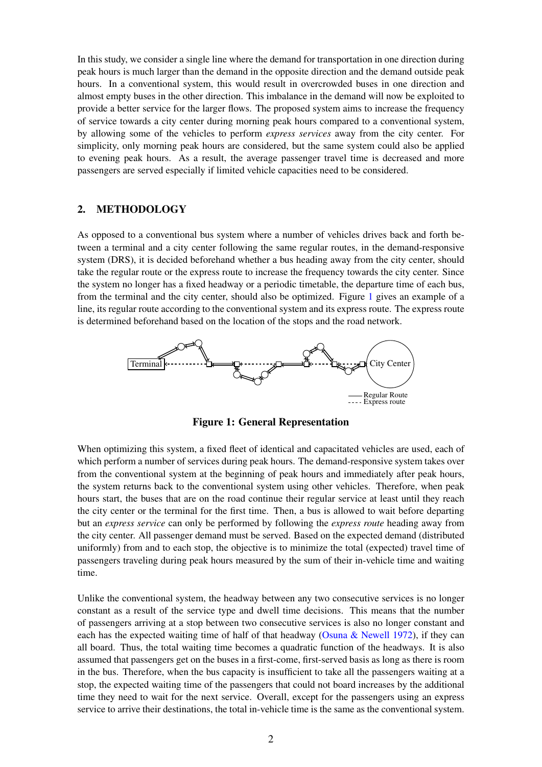In this study, we consider a single line where the demand for transportation in one direction during peak hours is much larger than the demand in the opposite direction and the demand outside peak hours. In a conventional system, this would result in overcrowded buses in one direction and almost empty buses in the other direction. This imbalance in the demand will now be exploited to provide a better service for the larger flows. The proposed system aims to increase the frequency of service towards a city center during morning peak hours compared to a conventional system, by allowing some of the vehicles to perform *express services* away from the city center. For simplicity, only morning peak hours are considered, but the same system could also be applied to evening peak hours. As a result, the average passenger travel time is decreased and more passengers are served especially if limited vehicle capacities need to be considered.

### 2. METHODOLOGY

As opposed to a conventional bus system where a number of vehicles drives back and forth between a terminal and a city center following the same regular routes, in the demand-responsive system (DRS), it is decided beforehand whether a bus heading away from the city center, should take the regular route or the express route to increase the frequency towards the city center. Since the system no longer has a fixed headway or a periodic timetable, the departure time of each bus, from the terminal and the city center, should also be optimized. Figure [1](#page-1-0) gives an example of a line, its regular route according to the conventional system and its express route. The express route is determined beforehand based on the location of the stops and the road network.

<span id="page-1-0"></span>

Figure 1: General Representation

When optimizing this system, a fixed fleet of identical and capacitated vehicles are used, each of which perform a number of services during peak hours. The demand-responsive system takes over from the conventional system at the beginning of peak hours and immediately after peak hours, the system returns back to the conventional system using other vehicles. Therefore, when peak hours start, the buses that are on the road continue their regular service at least until they reach the city center or the terminal for the first time. Then, a bus is allowed to wait before departing but an *express service* can only be performed by following the *express route* heading away from the city center. All passenger demand must be served. Based on the expected demand (distributed uniformly) from and to each stop, the objective is to minimize the total (expected) travel time of passengers traveling during peak hours measured by the sum of their in-vehicle time and waiting time.

Unlike the conventional system, the headway between any two consecutive services is no longer constant as a result of the service type and dwell time decisions. This means that the number of passengers arriving at a stop between two consecutive services is also no longer constant and each has the expected waiting time of half of that headway [\(Osuna & Newell](#page-6-8) [1972\)](#page-6-8), if they can all board. Thus, the total waiting time becomes a quadratic function of the headways. It is also assumed that passengers get on the buses in a first-come, first-served basis as long as there is room in the bus. Therefore, when the bus capacity is insufficient to take all the passengers waiting at a stop, the expected waiting time of the passengers that could not board increases by the additional time they need to wait for the next service. Overall, except for the passengers using an express service to arrive their destinations, the total in-vehicle time is the same as the conventional system.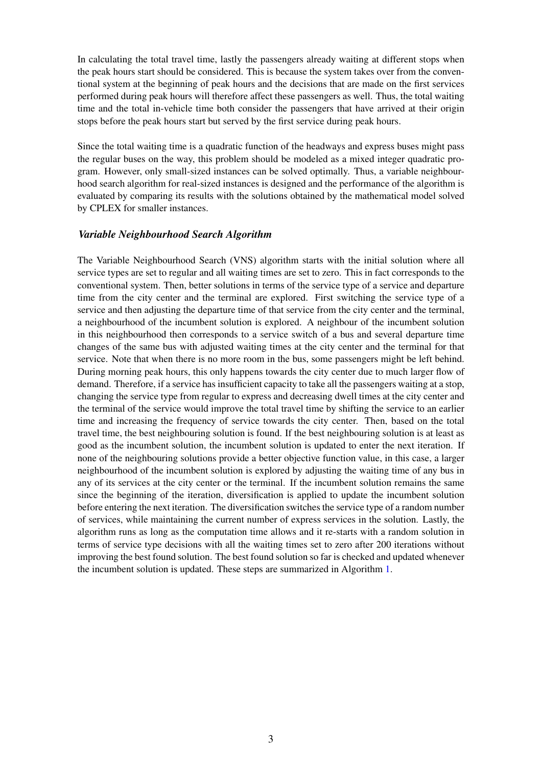In calculating the total travel time, lastly the passengers already waiting at different stops when the peak hours start should be considered. This is because the system takes over from the conventional system at the beginning of peak hours and the decisions that are made on the first services performed during peak hours will therefore affect these passengers as well. Thus, the total waiting time and the total in-vehicle time both consider the passengers that have arrived at their origin stops before the peak hours start but served by the first service during peak hours.

Since the total waiting time is a quadratic function of the headways and express buses might pass the regular buses on the way, this problem should be modeled as a mixed integer quadratic program. However, only small-sized instances can be solved optimally. Thus, a variable neighbourhood search algorithm for real-sized instances is designed and the performance of the algorithm is evaluated by comparing its results with the solutions obtained by the mathematical model solved by CPLEX for smaller instances.

#### *Variable Neighbourhood Search Algorithm*

The Variable Neighbourhood Search (VNS) algorithm starts with the initial solution where all service types are set to regular and all waiting times are set to zero. This in fact corresponds to the conventional system. Then, better solutions in terms of the service type of a service and departure time from the city center and the terminal are explored. First switching the service type of a service and then adjusting the departure time of that service from the city center and the terminal, a neighbourhood of the incumbent solution is explored. A neighbour of the incumbent solution in this neighbourhood then corresponds to a service switch of a bus and several departure time changes of the same bus with adjusted waiting times at the city center and the terminal for that service. Note that when there is no more room in the bus, some passengers might be left behind. During morning peak hours, this only happens towards the city center due to much larger flow of demand. Therefore, if a service has insufficient capacity to take all the passengers waiting at a stop, changing the service type from regular to express and decreasing dwell times at the city center and the terminal of the service would improve the total travel time by shifting the service to an earlier time and increasing the frequency of service towards the city center. Then, based on the total travel time, the best neighbouring solution is found. If the best neighbouring solution is at least as good as the incumbent solution, the incumbent solution is updated to enter the next iteration. If none of the neighbouring solutions provide a better objective function value, in this case, a larger neighbourhood of the incumbent solution is explored by adjusting the waiting time of any bus in any of its services at the city center or the terminal. If the incumbent solution remains the same since the beginning of the iteration, diversification is applied to update the incumbent solution before entering the next iteration. The diversification switches the service type of a random number of services, while maintaining the current number of express services in the solution. Lastly, the algorithm runs as long as the computation time allows and it re-starts with a random solution in terms of service type decisions with all the waiting times set to zero after 200 iterations without improving the best found solution. The best found solution so far is checked and updated whenever the incumbent solution is updated. These steps are summarized in Algorithm [1.](#page-3-0)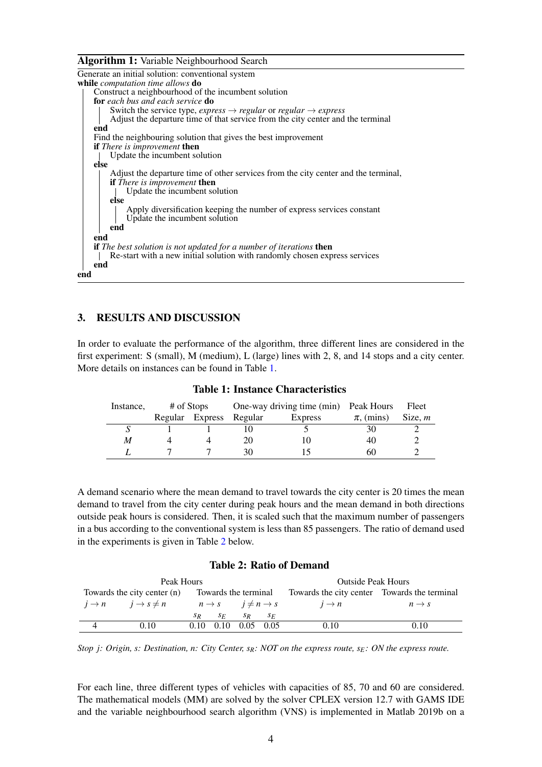#### Algorithm 1: Variable Neighbourhood Search

<span id="page-3-0"></span>

| Generate an initial solution: conventional system                                                                   |
|---------------------------------------------------------------------------------------------------------------------|
| while <i>computation time allows</i> do                                                                             |
| Construct a neighbourhood of the incumbent solution                                                                 |
| <b>for</b> each bus and each service <b>do</b>                                                                      |
| Switch the service type, <i>express</i> $\rightarrow$ <i>regular</i> or <i>regular</i> $\rightarrow$ <i>express</i> |
| Adjust the departure time of that service from the city center and the terminal                                     |
| end                                                                                                                 |
| Find the neighbouring solution that gives the best improvement                                                      |
| <b>if</b> There is improvement <b>then</b>                                                                          |
| Update the incumbent solution                                                                                       |
| else                                                                                                                |
| Adjust the departure time of other services from the city center and the terminal,                                  |
| <b>if</b> There is improvement <b>then</b>                                                                          |
| Update the incumbent solution                                                                                       |
| else                                                                                                                |
| Apply diversification keeping the number of express services constant<br>Update the incumbent solution              |
| end                                                                                                                 |
| end                                                                                                                 |
| if The best solution is not updated for a number of iterations then                                                 |
| Re-start with a new initial solution with randomly chosen express services                                          |
| end                                                                                                                 |
| end                                                                                                                 |

### 3. RESULTS AND DISCUSSION

In order to evaluate the performance of the algorithm, three different lines are considered in the first experiment: S (small), M (medium), L (large) lines with 2, 8, and 14 stops and a city center. More details on instances can be found in Table [1.](#page-3-1)

<span id="page-3-1"></span>

| Instance, | # of Stops |                 |                           | One-way driving time (min) Peak Hours |                | Fleet     |
|-----------|------------|-----------------|---------------------------|---------------------------------------|----------------|-----------|
|           |            | Regular Express | Regular<br><b>Express</b> |                                       | $\pi$ , (mins) | Size, $m$ |
|           |            |                 |                           |                                       | 30             |           |
| M         |            |                 | 20                        |                                       | 40             |           |
|           |            |                 | 30                        |                                       | 60             |           |

Table 1: Instance Characteristics

A demand scenario where the mean demand to travel towards the city center is 20 times the mean demand to travel from the city center during peak hours and the mean demand in both directions outside peak hours is considered. Then, it is scaled such that the maximum number of passengers in a bus according to the conventional system is less than 85 passengers. The ratio of demand used in the experiments is given in Table [2](#page-3-2) below.

#### Table 2: Ratio of Demand

<span id="page-3-2"></span>

|                | Peak Hours                                 |         |                                      | <b>Outside Peak Hours</b> |         |                                              |                   |
|----------------|--------------------------------------------|---------|--------------------------------------|---------------------------|---------|----------------------------------------------|-------------------|
|                | Towards the city center (n)                |         | Towards the terminal                 |                           |         | Towards the city center Towards the terminal |                   |
|                | $i \rightarrow n$ $i \rightarrow s \neq n$ |         | $n \to s$ $i \neq n \to s$           |                           |         | $i \rightarrow n$                            | $n \rightarrow s$ |
|                |                                            | $S_{R}$ | SE                                   | $S_{R}$                   | $S_{F}$ |                                              |                   |
| $\overline{4}$ | 0.10                                       |         | $0.10\quad 0.10\quad 0.05\quad 0.05$ |                           |         | 0.10                                         | 0.10              |

*Stop j: Origin, s: Destination, n: City Center, sR: NOT on the express route, sE: ON the express route.*

For each line, three different types of vehicles with capacities of 85, 70 and 60 are considered. The mathematical models (MM) are solved by the solver CPLEX version 12.7 with GAMS IDE and the variable neighbourhood search algorithm (VNS) is implemented in Matlab 2019b on a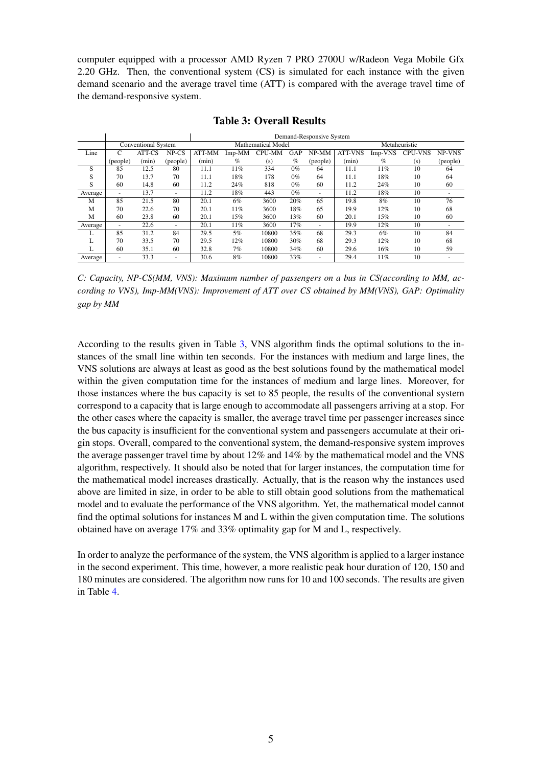computer equipped with a processor AMD Ryzen 7 PRO 2700U w/Radeon Vega Mobile Gfx 2.20 GHz. Then, the conventional system (CS) is simulated for each instance with the given demand scenario and the average travel time (ATT) is compared with the average travel time of the demand-responsive system.

<span id="page-4-0"></span>

|         |                          |                            |                          |        |        |                    | Demand-Responsive System |               |                |         |                |          |
|---------|--------------------------|----------------------------|--------------------------|--------|--------|--------------------|--------------------------|---------------|----------------|---------|----------------|----------|
|         |                          | <b>Conventional System</b> |                          |        |        | Mathematical Model |                          | Metaheuristic |                |         |                |          |
| Line    | C                        | ATT-CS                     | NP-CS                    | ATT-MM | Imp-MM | <b>CPU-MM</b>      | GAP                      | $NP-MM$       | <b>ATT-VNS</b> | Imp-VNS | <b>CPU-VNS</b> | NP-VNS   |
|         | (people)                 | (min)                      | (people)                 | (min)  | $\%$   | (s)                | $\%$                     | (people)      | (min)          | $\%$    | (s)            | (people) |
| S       | 85                       | 12.5                       | 80                       | 11.1   | 11%    | 334                | $0\%$                    | 64            | 11.1           | 11%     | 10             | 64       |
| S       | 70                       | 13.7                       | 70                       | 11.1   | 18%    | 178                | $0\%$                    | 64            | 11.1           | 18%     | 10             | 64       |
| S       | 60                       | 14.8                       | 60                       | 11.2   | 24%    | 818                | $0\%$                    | 60            | 11.2           | 24%     | 10             | 60       |
| Average | $\overline{\phantom{0}}$ | 13.7                       | $\overline{\phantom{a}}$ | 11.2   | 18%    | 443                | $0\%$                    |               | 11.2           | 18%     | 10             |          |
| М       | 85                       | 21.5                       | 80                       | 20.1   | 6%     | 3600               | 20%                      | 65            | 19.8           | 8%      | 10             | 76       |
| M       | 70                       | 22.6                       | 70                       | 20.1   | 11%    | 3600               | 18%                      | 65            | 19.9           | 12%     | 10             | 68       |
| M       | 60                       | 23.8                       | 60                       | 20.1   | 15%    | 3600               | 13%                      | 60            | 20.1           | 15%     | 10             | 60       |
| Average | $\overline{\phantom{0}}$ | 22.6                       | $\overline{\phantom{a}}$ | 20.1   | 11%    | 3600               | 17%                      |               | 19.9           | 12%     | 10             |          |
|         | 85                       | 31.2                       | 84                       | 29.5   | 5%     | 10800              | 35%                      | 68            | 29.3           | 6%      | 10             | 84       |
|         | 70                       | 33.5                       | 70                       | 29.5   | 12%    | 10800              | 30%                      | 68            | 29.3           | 12%     | 10             | 68       |
|         | 60                       | 35.1                       | 60                       | 32.8   | 7%     | 10800              | 34%                      | 60            | 29.6           | 16%     | 10             | 59       |
| Average | $\overline{\phantom{0}}$ | 33.3                       | -                        | 30.6   | 8%     | 10800              | 33%                      |               | 29.4           | 11%     | 10             |          |

Table 3: Overall Results

*C: Capacity, NP-CS(MM, VNS): Maximum number of passengers on a bus in CS(according to MM, according to VNS), Imp-MM(VNS): Improvement of ATT over CS obtained by MM(VNS), GAP: Optimality gap by MM*

According to the results given in Table [3,](#page-4-0) VNS algorithm finds the optimal solutions to the instances of the small line within ten seconds. For the instances with medium and large lines, the VNS solutions are always at least as good as the best solutions found by the mathematical model within the given computation time for the instances of medium and large lines. Moreover, for those instances where the bus capacity is set to 85 people, the results of the conventional system correspond to a capacity that is large enough to accommodate all passengers arriving at a stop. For the other cases where the capacity is smaller, the average travel time per passenger increases since the bus capacity is insufficient for the conventional system and passengers accumulate at their origin stops. Overall, compared to the conventional system, the demand-responsive system improves the average passenger travel time by about 12% and 14% by the mathematical model and the VNS algorithm, respectively. It should also be noted that for larger instances, the computation time for the mathematical model increases drastically. Actually, that is the reason why the instances used above are limited in size, in order to be able to still obtain good solutions from the mathematical model and to evaluate the performance of the VNS algorithm. Yet, the mathematical model cannot find the optimal solutions for instances M and L within the given computation time. The solutions obtained have on average 17% and 33% optimality gap for M and L, respectively.

In order to analyze the performance of the system, the VNS algorithm is applied to a larger instance in the second experiment. This time, however, a more realistic peak hour duration of 120, 150 and 180 minutes are considered. The algorithm now runs for 10 and 100 seconds. The results are given in Table [4.](#page-5-0)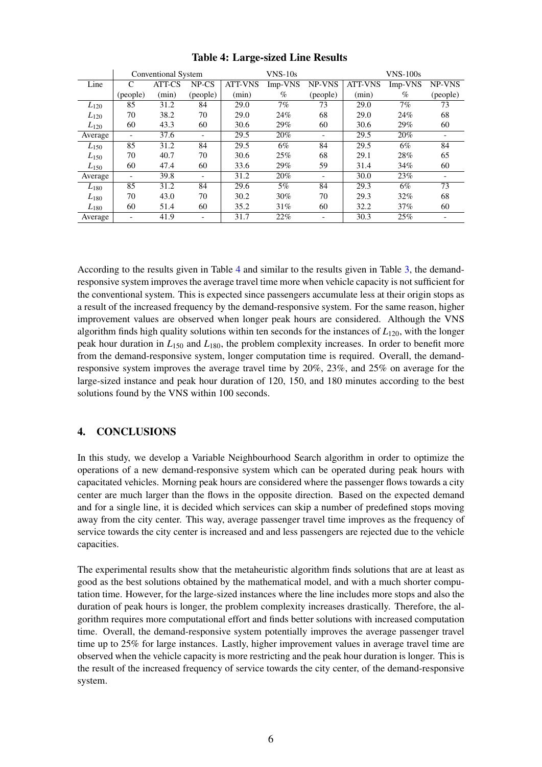<span id="page-5-0"></span>

|               |                          | <b>Conventional System</b> |                          |                | $V$ NS- $10s$        |                          | $V$ NS-100s    |                      |          |
|---------------|--------------------------|----------------------------|--------------------------|----------------|----------------------|--------------------------|----------------|----------------------|----------|
| Line          | C                        | ATT-CS                     | $NP$ - $CS$              | <b>ATT-VNS</b> | $Imp-VN\overline{S}$ | NP-VNS                   | <b>ATT-VNS</b> | $Imp-VN\overline{S}$ | NP-VNS   |
|               | (people)                 | (min)                      | (people)                 | (min)          | $\%$                 | (people)                 | (min)          | $\%$                 | (people) |
| $L_{120}$     | 85                       | 31.2                       | 84                       | 29.0           | 7%                   | 73                       | 29.0           | 7%                   | 73       |
| $L_{120}$     | 70                       | 38.2                       | 70                       | 29.0           | 24%                  | 68                       | 29.0           | 24%                  | 68       |
| $L_{120}$     | 60                       | 43.3                       | 60                       | 30.6           | 29%                  | 60                       | 30.6           | 29%                  | 60       |
| Average       | $\overline{\phantom{a}}$ | 37.6                       |                          | 29.5           | 20%                  | $\overline{\phantom{0}}$ | 29.5           | 20%                  |          |
| $L_{150}$     | 85                       | 31.2                       | 84                       | 29.5           | 6%                   | 84                       | 29.5           | 6%                   | 84       |
| $L_{150}$     | 70                       | 40.7                       | 70                       | 30.6           | 25%                  | 68                       | 29.1           | 28%                  | 65       |
| $L_{150}$     | 60                       | 47.4                       | 60                       | 33.6           | 29%                  | 59                       | 31.4           | 34%                  | 60       |
| Average       | $\overline{\phantom{a}}$ | 39.8                       | $\overline{\phantom{0}}$ | 31.2           | 20%                  | $\overline{\phantom{0}}$ | 30.0           | 23%                  |          |
| $L_{\rm 180}$ | 85                       | 31.2                       | 84                       | 29.6           | $5\%$                | 84                       | 29.3           | 6%                   | 73       |
| $L_{\rm 180}$ | 70                       | 43.0                       | 70                       | 30.2           | 30%                  | 70                       | 29.3           | 32%                  | 68       |
| $L_{180}$     | 60                       | 51.4                       | 60                       | 35.2           | 31%                  | 60                       | 32.2           | 37%                  | 60       |
| Average       | $\overline{\phantom{a}}$ | 41.9                       | $\qquad \qquad -$        | 31.7           | 22%                  | $\overline{\phantom{0}}$ | 30.3           | 25%                  |          |

## Table 4: Large-sized Line Results

According to the results given in Table [4](#page-5-0) and similar to the results given in Table [3,](#page-4-0) the demandresponsive system improves the average travel time more when vehicle capacity is not sufficient for the conventional system. This is expected since passengers accumulate less at their origin stops as a result of the increased frequency by the demand-responsive system. For the same reason, higher improvement values are observed when longer peak hours are considered. Although the VNS algorithm finds high quality solutions within ten seconds for the instances of  $L_{120}$ , with the longer peak hour duration in  $L_{150}$  and  $L_{180}$ , the problem complexity increases. In order to benefit more from the demand-responsive system, longer computation time is required. Overall, the demandresponsive system improves the average travel time by 20%, 23%, and 25% on average for the large-sized instance and peak hour duration of 120, 150, and 180 minutes according to the best solutions found by the VNS within 100 seconds.

# 4. CONCLUSIONS

In this study, we develop a Variable Neighbourhood Search algorithm in order to optimize the operations of a new demand-responsive system which can be operated during peak hours with capacitated vehicles. Morning peak hours are considered where the passenger flows towards a city center are much larger than the flows in the opposite direction. Based on the expected demand and for a single line, it is decided which services can skip a number of predefined stops moving away from the city center. This way, average passenger travel time improves as the frequency of service towards the city center is increased and and less passengers are rejected due to the vehicle capacities.

The experimental results show that the metaheuristic algorithm finds solutions that are at least as good as the best solutions obtained by the mathematical model, and with a much shorter computation time. However, for the large-sized instances where the line includes more stops and also the duration of peak hours is longer, the problem complexity increases drastically. Therefore, the algorithm requires more computational effort and finds better solutions with increased computation time. Overall, the demand-responsive system potentially improves the average passenger travel time up to 25% for large instances. Lastly, higher improvement values in average travel time are observed when the vehicle capacity is more restricting and the peak hour duration is longer. This is the result of the increased frequency of service towards the city center, of the demand-responsive system.